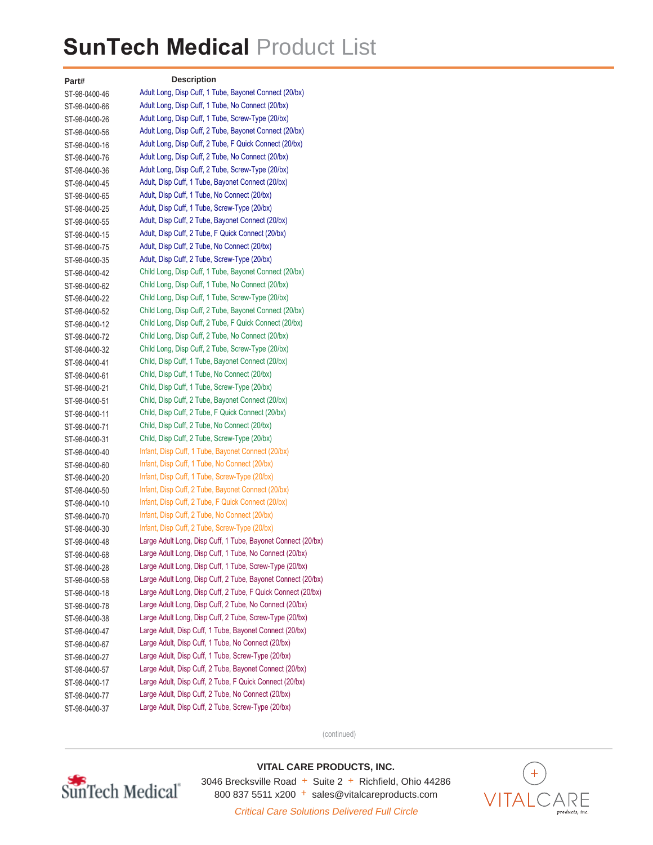## **SunTech Medical** Product List

**Part#** ST-98-0400-46 ST-98-0400-66 ST-98-0400-26 ST-98-0400-56 ST-98-0400-16 ST-98-0400-76 ST-98-0400-36 ST-98-0400-45 ST-98-0400-65 ST-98-0400-25 ST-98-0400-55 ST-98-0400-15 ST-98-0400-75 ST-98-0400-35 ST-98-0400-42 ST-98-0400-62 ST-98-0400-22 ST-98-0400-52 ST-98-0400-12 ST-98-0400-72 ST-98-0400-32 ST-98-0400-41 ST-98-0400-61 ST-98-0400-21 ST-98-0400-51 ST-98-0400-11 ST-98-0400-71 ST-98-0400-31 ST-98-0400-40 ST-98-0400-60 ST-98-0400-20 ST-98-0400-50 ST-98-0400-10 ST-98-0400-70 ST-98-0400-30 ST-98-0400-48 ST-98-0400-68 ST-98-0400-28 ST-98-0400-58 ST-98-0400-18 ST-98-0400-78 ST-98-0400-38 ST-98-0400-47 ST-98-0400-67 ST-98-0400-27 ST-98-0400-57 ST-98-0400-17 ST-98-0400-77 ST-98-0400-37 **Description** Adult Long, Disp Cuff, 1 Tube, Bayonet Connect (20/bx) Adult Long, Disp Cuff, 1 Tube, No Connect (20/bx) Adult Long, Disp Cuff, 1 Tube, Screw-Type (20/bx) Adult Long, Disp Cuff, 2 Tube, Bayonet Connect (20/bx) Adult Long, Disp Cuff, 2 Tube, F Quick Connect (20/bx) Adult Long, Disp Cuff, 2 Tube, No Connect (20/bx) Adult Long, Disp Cuff, 2 Tube, Screw-Type (20/bx) Adult, Disp Cuff, 1 Tube, Bayonet Connect (20/bx) Adult, Disp Cuff, 1 Tube, No Connect (20/bx) Adult, Disp Cuff, 1 Tube, Screw-Type (20/bx) Adult, Disp Cuff, 2 Tube, Bayonet Connect (20/bx) Adult, Disp Cuff, 2 Tube, F Quick Connect (20/bx) Adult, Disp Cuff, 2 Tube, No Connect (20/bx) Adult, Disp Cuff, 2 Tube, Screw-Type (20/bx) Child Long, Disp Cuff, 1 Tube, Bayonet Connect (20/bx) Child Long, Disp Cuff, 1 Tube, No Connect (20/bx) Child Long, Disp Cuff, 1 Tube, Screw-Type (20/bx) Child Long, Disp Cuff, 2 Tube, Bayonet Connect (20/bx) Child Long, Disp Cuff, 2 Tube, F Quick Connect (20/bx) Child Long, Disp Cuff, 2 Tube, No Connect (20/bx) Child Long, Disp Cuff, 2 Tube, Screw-Type (20/bx) Child, Disp Cuff, 1 Tube, Bayonet Connect (20/bx) Child, Disp Cuff, 1 Tube, No Connect (20/bx) Child, Disp Cuff, 1 Tube, Screw-Type (20/bx) Child, Disp Cuff, 2 Tube, Bayonet Connect (20/bx) Child, Disp Cuff, 2 Tube, F Quick Connect (20/bx) Child, Disp Cuff, 2 Tube, No Connect (20/bx) Child, Disp Cuff, 2 Tube, Screw-Type (20/bx) Infant, Disp Cuff, 1 Tube, Bayonet Connect (20/bx) Infant, Disp Cuff, 1 Tube, No Connect (20/bx) Infant, Disp Cuff, 1 Tube, Screw-Type (20/bx) Infant, Disp Cuff, 2 Tube, Bayonet Connect (20/bx) Infant, Disp Cuff, 2 Tube, F Quick Connect (20/bx) Infant, Disp Cuff, 2 Tube, No Connect (20/bx) Infant, Disp Cuff, 2 Tube, Screw-Type (20/bx) Large Adult Long, Disp Cuff, 1 Tube, Bayonet Connect (20/bx) Large Adult Long, Disp Cuff, 1 Tube, No Connect (20/bx) Large Adult Long, Disp Cuff, 1 Tube, Screw-Type (20/bx) Large Adult Long, Disp Cuff, 2 Tube, Bayonet Connect (20/bx) Large Adult Long, Disp Cuff, 2 Tube, F Quick Connect (20/bx) Large Adult Long, Disp Cuff, 2 Tube, No Connect (20/bx) Large Adult Long, Disp Cuff, 2 Tube, Screw-Type (20/bx) Large Adult, Disp Cuff, 1 Tube, Bayonet Connect (20/bx) Large Adult, Disp Cuff, 1 Tube, No Connect (20/bx) Large Adult, Disp Cuff, 1 Tube, Screw-Type (20/bx) Large Adult, Disp Cuff, 2 Tube, Bayonet Connect (20/bx) Large Adult, Disp Cuff, 2 Tube, F Quick Connect (20/bx) Large Adult, Disp Cuff, 2 Tube, No Connect (20/bx) Large Adult, Disp Cuff, 2 Tube, Screw-Type (20/bx)

(continued)



**VITAL CARE PRODUCTS, INC.** 3046 Brecksville Road  $+$  Suite 2  $+$  Richfield, Ohio 44286 800 837 5511 x200 + sales@vitalcareproducts.com



Critical Care Solutions Delivered Full Circle